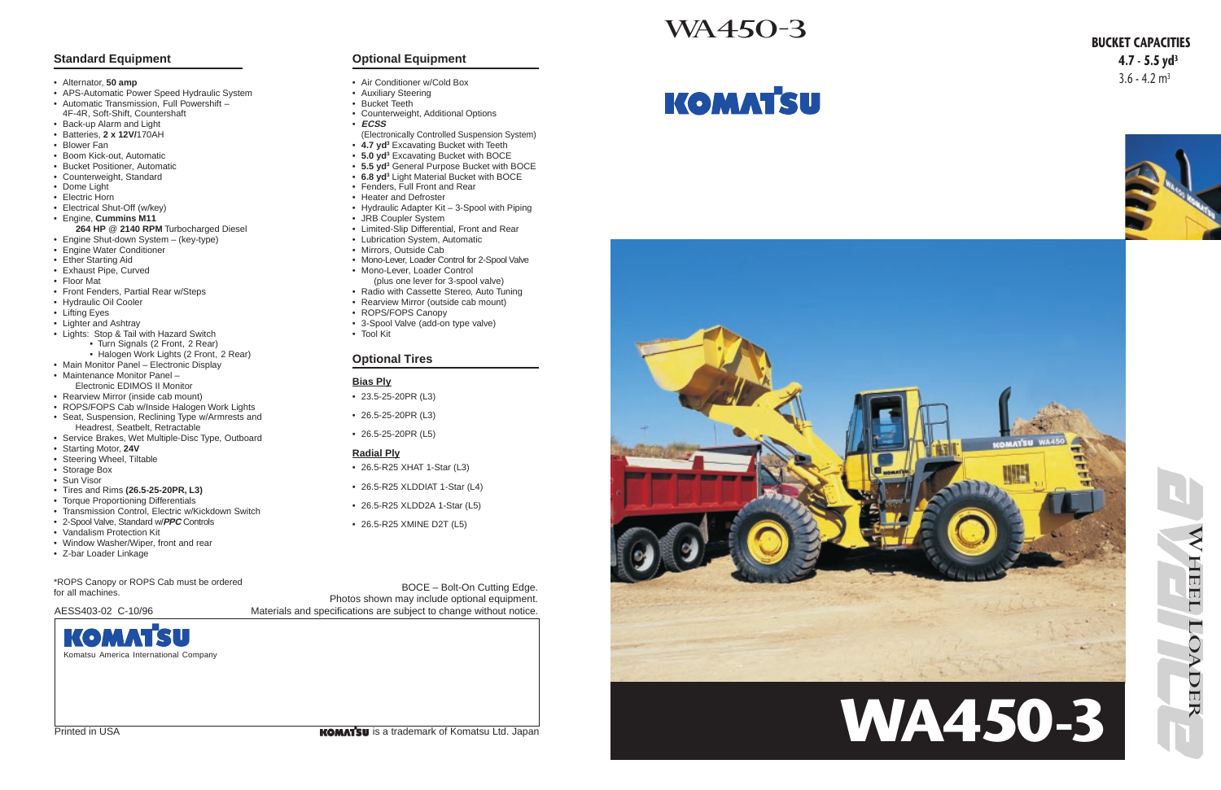



# WA450-3

Photos shown may include optional equipment.

BOCE – Bolt-On Cutting Edge. AESS403-02 C-10/96 Materials and specifications are subject to change without notice.



Printed in USA is a trademark of Komatsu Ltd. Japan

# **KOMATSU**



# **BUCKET CAPACITIES 4.7 - 5.5 yd<sup>3</sup>**  $3.6 - 4.2$  m<sup>3</sup>



# **Standard Equipment**

- Alternator, **50 amp**
- APS-Automatic Power Speed Hydraulic System
- Automatic Transmission, Full Powershift 4F-4R, Soft-Shift, Countershaft
- Back-up Alarm and Light
- Batteries, **2 x 12V/**170AH
- Blower Fan
- Boom Kick-out, Automatic
- Bucket Positioner, Automatic
- Counterweight, Standard
- Dome Light
- Electric Horn
- Electrical Shut-Off (w/key)
- Engine, **Cummins M11**
- **264 HP** @ **2140 RPM** Turbocharged Diesel
- Engine Shut-down System (key-type)
- Engine Water Conditioner
- Ether Starting Aid
- Exhaust Pipe, Curved
- Floor Mat
- Front Fenders, Partial Rear w/Steps
- Hydraulic Oil Cooler
- Lifting Eyes
- Lighter and Ashtray
- Lights: Stop & Tail with Hazard Switch
	- Turn Signals (2 Front, 2 Rear)
	- Halogen Work Lights (2 Front, 2 Rear)
- Main Monitor Panel Electronic Display • Maintenance Monitor Panel –
- Electronic EDIMOS II Monitor
- Rearview Mirror (inside cab mount)
- ROPS/FOPS Cab w/Inside Halogen Work Lights
- Seat, Suspension, Reclining Type w/Armrests and Headrest, Seatbelt, Retractable
- Service Brakes, Wet Multiple-Disc Type, Outboard
- Starting Motor, **24V**
- Steering Wheel, Tiltable
- Storage Box
- Sun Visor
- Tires and Rims **(26.5-25-20PR, L3)**
- Torque Proportioning Differentials
- Transmission Control, Electric w/Kickdown Switch
- 2-Spool Valve, Standard w/**PPC** Controls
- Vandalism Protection Kit
- Window Washer/Wiper, front and rear
- Z-bar Loader Linkage

# KOMAT Komatsu America International Company

## **Optional Equipment**

- Air Conditioner w/Cold Box
- Auxiliary Steering
- Bucket Teeth
- Counterweight, Additional Options
- **ECSS**
- (Electronically Controlled Suspension System)
- **4.7 yd3** Excavating Bucket with Teeth
- **5.0 yd3** Excavating Bucket with BOCE
- **5.5 yd3** General Purpose Bucket with BOCE
- **6.8 yd3** Light Material Bucket with BOCE
- Fenders, Full Front and Rear
- Heater and Defroster
- Hydraulic Adapter Kit 3-Spool with Piping
- JRB Coupler System • Limited-Slip Differential, Front and Rear
- Lubrication System, Automatic
- Mirrors, Outside Cab
- Mono-Lever, Loader Control for 2-Spool Valve • Mono-Lever, Loader Control
- (plus one lever for 3-spool valve)
- Radio with Cassette Stereo, Auto Tuning • Rearview Mirror (outside cab mount)
- ROPS/FOPS Canopy
- 3-Spool Valve (add-on type valve)
- Tool Kit

## **Optional Tires**

### **Bias Ply**

- 23.5-25-20PR (L3)
- 26.5-25-20PR (L3)
- 26.5-25-20PR (L5)

### **Radial Ply**

- 26.5-R25 XHAT 1-Star (L3)
- 26.5-R25 XLDDIAT 1-Star (L4)
- 26.5-R25 XLDD2A 1-Star (L5)
- 26.5-R25 XMINE D2T (L5)

\*ROPS Canopy or ROPS Cab must be ordered for all machines.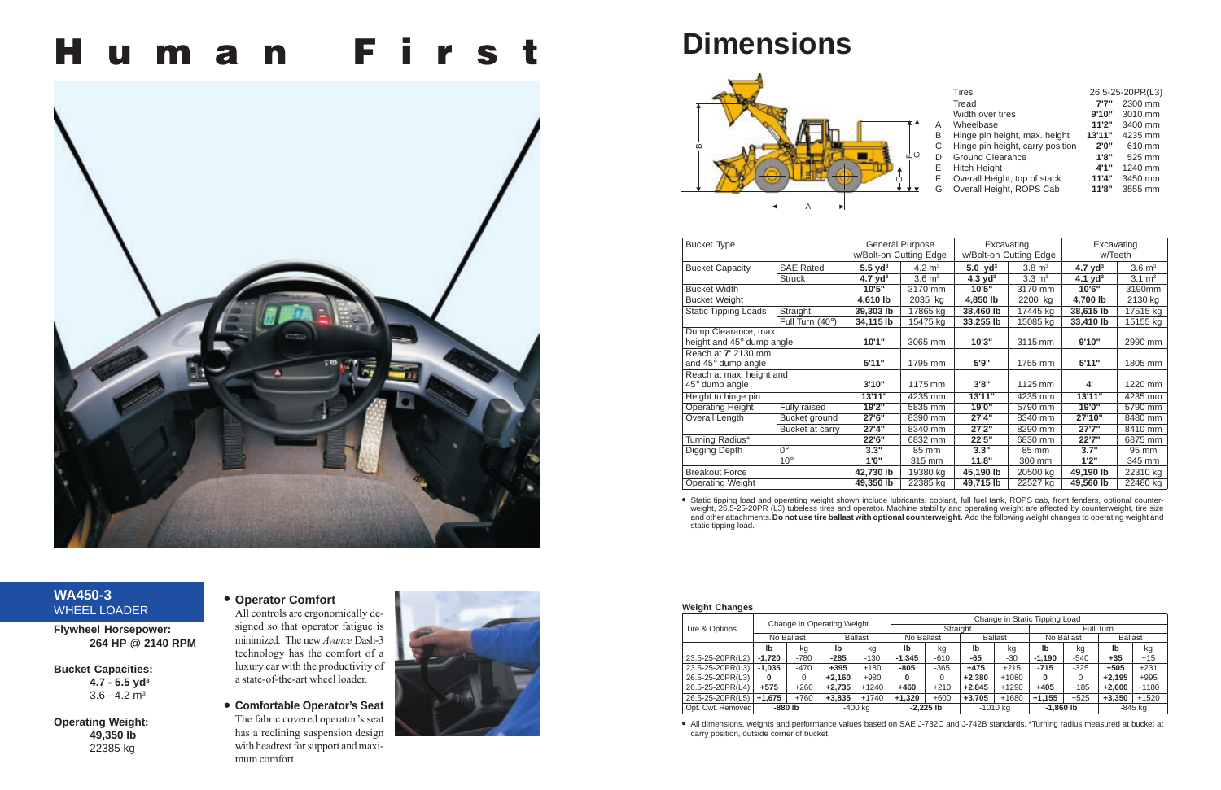# **H u m a n F i r s t**



# **WA450-3** WHEEL LOADER

**Bucket Capacities: 4.7 - 5.5 yd3**  $3.6 - 4.2$  m<sup>3</sup>

**Flywheel Horsepower: 264 HP @ 2140 RPM**

**Operating Weight: 49,350 lb** 22385 kg

# **• Operator Comfort**

All controls are ergonomically designed so that operator fatigue is minimized. The new *Avance* Dash-3 technology has the comfort of a luxury car with the productivity of a state-of-the-art wheel loader.





# **Dimensions**

#### **Weight Changes**

| <b>Bucket Type</b>           |                  | <b>General Purpose</b><br>w/Bolt-on Cutting Edge |                   | Excavating<br>w/Bolt-on Cutting Edge |                   | Excavating<br>w/Teeth        |                   |
|------------------------------|------------------|--------------------------------------------------|-------------------|--------------------------------------|-------------------|------------------------------|-------------------|
| <b>Bucket Capacity</b>       | <b>SAE Rated</b> | $5.5$ yd <sup>3</sup>                            | 4.2 $m3$          | 5.0 yd <sup>3</sup>                  | $3.8 \text{ m}^3$ | 4.7 $\mathsf{v}\mathsf{d}^3$ | $3.6 \text{ m}^3$ |
|                              | <b>Struck</b>    | 4.7 $yd^3$                                       | $3.6 \text{ m}^3$ | 4.3 $yd^3$                           | $3.3 \text{ m}^3$ | 4.1 $yd^3$                   | $3.1 \text{ m}^3$ |
| <b>Bucket Width</b>          |                  | 10'5"                                            | 3170 mm           | 10'5"                                | 3170 mm           | 10'6"                        | 3190mm            |
| <b>Bucket Weight</b>         |                  | 4,610 lb                                         | 2035 kg           | 4,850 lb                             | 2200 kg           | 4,700 lb                     | 2130 kg           |
| <b>Static Tipping Loads</b>  | Straight         | 39,303 lb                                        | 17865 kg          | 38,460 lb                            | 17445 kg          | 38,615 lb                    | 17515 kg          |
|                              | Full Turn (40°)  | 34,115 lb                                        | 15475 kg          | 33,255 lb                            | 15085 kg          | 33,410 lb                    | 15155 kg          |
| Dump Clearance, max.         |                  |                                                  |                   |                                      |                   |                              |                   |
| height and 45° dump angle    |                  | 10'1"                                            | 3065 mm           | 10'3"                                | 3115 mm           | 9'10"                        | 2990 mm           |
| Reach at 7' 2130 mm          |                  |                                                  |                   |                                      |                   |                              |                   |
| and 45° dump angle           |                  | 5'11"                                            | 1795 mm           | 5'9"                                 | 1755 mm           | 5'11"                        | 1805 mm           |
| Reach at max. height and     |                  |                                                  |                   |                                      |                   |                              |                   |
| $45^\circ$ dump angle        |                  | 3'10"                                            | 1175 mm           | 3'8"                                 | 1125 mm           | 4'                           | 1220 mm           |
| Height to hinge pin          |                  | 13'11"                                           | 4235 mm           | 13'11"                               | 4235 mm           | 13'11"                       | 4235 mm           |
| <b>Operating Height</b>      | Fully raised     | 19'2"                                            | 5835 mm           | 19'0"                                | 5790 mm           | 19'0"                        | 5790 mm           |
| <b>Overall Length</b>        | Bucket ground    | 27'6"                                            | 8390 mm           | 27'4"                                | 8340 mm           | 27'10"                       | 8480 mm           |
| Bucket at carry              |                  | 27'4"                                            | 8340 mm           | 27'2"                                | 8290 mm           | 27'7''                       | 8410 mm           |
| Turning Radius*              |                  | 22'6"                                            | 6832 mm           | 22'5"                                | 6830 mm           | 22'7"                        | 6875 mm           |
| $0^{\circ}$<br>Digging Depth |                  | 3.3"                                             | 85 mm             | 3.3"                                 | 85 mm             | 3.7"                         | 95 mm             |
| $10^{\circ}$                 |                  | 1'0''                                            | 315 mm            | 11.8"                                | 300 mm            | 1'2"                         | 345 mm            |
| <b>Breakout Force</b>        |                  | 42,730 lb                                        | 19380 kg          | 45,190 lb                            | 20500 kg          | 49,190 lb                    | 22310 kg          |
| <b>Operating Weight</b>      |                  | 49,350 lb                                        | 22385 kg          | 49,715 lb                            | 22527 kg          | 49,560 lb                    | $22480$ kg        |

• Static tipping load and operating weight shown include lubricants, coolant, full fuel tank, ROPS cab, front fenders, optional counter-<br>weight, 26.5-25-20PR (L3) tubeless tires and operator. Machine stability and operatin and other attachments. **Do not use tire ballast with optional counterweight.** Add the following weight changes to operating weight and static tipping load.

|   |    | <b>Tires</b>                     |        | 26.5-25-20PR(L3) |
|---|----|----------------------------------|--------|------------------|
|   |    | Tread                            | 7'7''  | 2300 mm          |
|   |    | Width over tires                 | 9'10"  | 3010 mm          |
|   | A  | Wheelbase                        | 11'2"  | 3400 mm          |
|   | В  | Hinge pin height, max. height    | 13'11" | 4235 mm          |
|   | C  | Hinge pin height, carry position | 2'0''  | 610 mm           |
| Ò | D  | <b>Ground Clearance</b>          | 1'8"   | 525 mm           |
|   | F. | <b>Hitch Height</b>              | 4'1''  | 1240 mm          |
|   | F  | Overall Height, top of stack     | 11'4"  | 3450 mm          |
|   | G  | Overall Height, ROPS Cab         | 11'8"  | 3555 mm          |
|   |    |                                  |        |                  |

|                   | Change in Operating Weight |            |          | Change in Static Tipping Load |            |             |          |                |             |            |                |         |
|-------------------|----------------------------|------------|----------|-------------------------------|------------|-------------|----------|----------------|-------------|------------|----------------|---------|
| Tire & Options    |                            |            |          |                               | Straight   |             |          |                | Full Turn   |            |                |         |
|                   |                            | No Ballast |          | <b>Ballast</b>                | No Ballast |             |          | <b>Ballast</b> |             | No Ballast | <b>Ballast</b> |         |
|                   | lb                         | kq         | lb       | kg                            | lb         | kg          | lb       | kg             | lb          | kg         | lb             | kg      |
| 23.5-25-20PR(L2)  | $-1.720$                   | $-780$     | $-285$   | $-130$                        | $-1.345$   | $-610$      | -65      | $-30$          | $-1.190$    | $-540$     | $+35$          | $+15$   |
| 23.5-25-20PR(L3)  | $-1.035$                   | $-470$     | $+395$   | $+180$                        | $-805$     | $-365$      | $+475$   | $+215$         | $-715$      | $-325$     | $+505$         | $+231$  |
| 26.5-25-20PR(L3)  | 0                          |            | $+2.160$ | $+980$                        | $\Omega$   | 0           | $+2.380$ | $+1080$        | 0           | 0          | $+2.195$       | $+995$  |
| 26.5-25-20PR(L4)  | $+575$                     | $+260$     | $+2.735$ | $+1240$                       | $+460$     | $+210$      | $+2.845$ | $+1290$        | $+405$      | $+185$     | $+2.600$       | $+1180$ |
| 26.5-25-20PR(L5)  | $+1.675$                   | $+760$     | $+3.835$ | $+1740$                       | $+1.320$   | $+600$      | $+3,705$ | +1680          | $+1,155$    | $+525$     | $+3,350$       | $+1520$ |
| Opt. Cwt. Removed | -880 lb                    |            |          | -400 ka                       |            | $-2.225$ lb |          | $-1010$ kg     | $-1,860$ lb |            |                | -845 kg |

**•** All dimensions, weights and performance values based on SAE J-732C and J-742B standards. \*Turning radius measured at bucket at carry position, outside corner of bucket.



▼

▼

ட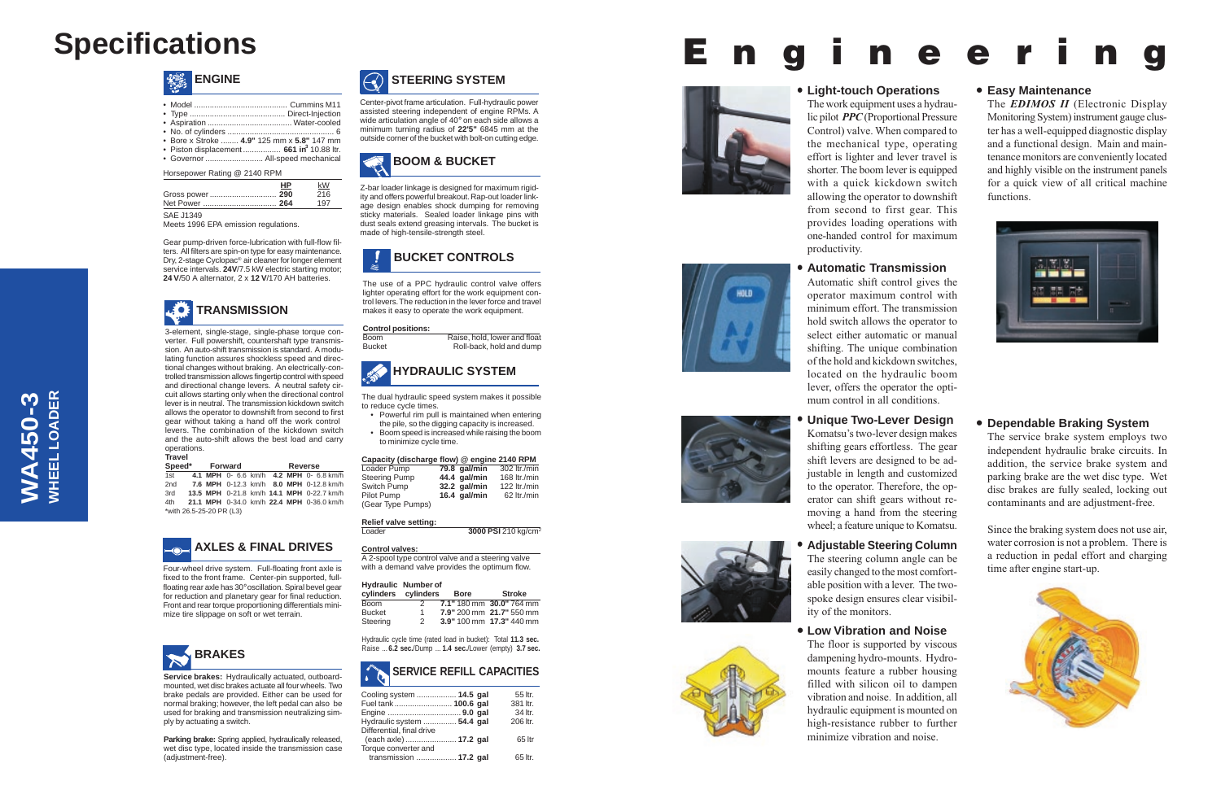

#### **• Easy Maintenance**

The *EDIMOS II* (Electronic Display Monitoring System) instrument gauge cluster has a well-equipped diagnostic display and a functional design. Main and maintenance monitors are conveniently located and highly visible on the instrument panels for a quick view of all critical machine functions.



#### **• Light-touch Operations**

The work equipment uses a hydraulic pilot *PPC* (Proportional Pressure





### **• Automatic Transmission**

Automatic shift control gives the operator maximum control with minimum effort. The transmission hold switch allows the operator to select either automatic or manual shifting. The unique combination of the hold and kickdown switches, located on the hydraulic boom lever, offers the operator the optimum control in all conditions.

WHEEL LOADER **WHEEL LOADER WA450-3 WA450-3**

### **• Unique Two-Lever Design** Komatsu's two-lever design makes shifting gears effortless. The gear shift levers are designed to be adjustable in length and customized to the operator. Therefore, the operator can shift gears without removing a hand from the steering wheel; a feature unique to Komatsu.



**• Low Vibration and Noise**

The floor is supported by viscous dampening hydro-mounts. Hydromounts feature a rubber housing filled with silicon oil to dampen vibration and noise. In addition, all hydraulic equipment is mounted on high-resistance rubber to further minimize vibration and noise.





## **• Dependable Braking System**

Z-bar loader linkage is designed for maximum rigidity and offers powerful breakout. Rap-out loader linkage design enables shock dumping for removing sticky materials. Sealed loader linkage pins with dust seals extend greasing intervals. The bucket is made of high-tensile-strength steel.

> The service brake system employs two independent hydraulic brake circuits. In addition, the service brake system and parking brake are the wet disc type. Wet disc brakes are fully sealed, locking out contaminants and are adjustment-free.

> Since the braking system does not use air, water corrosion is not a problem. There is a reduction in pedal effort and charging time after engine start-up.





#### Horsepower Rating @ 2140 RPM

**HP** kW

| НP | kW  |
|----|-----|
|    | 216 |
|    | 197 |

| 13<br>⌒<br>F. |  |
|---------------|--|
| . .           |  |

Meets 1996 EPA emission regulations.

Gear pump-driven force-lubrication with full-flow filters. All filters are spin-on type for easy maintenance. Dry, 2-stage Cyclopac® air cleaner for longer element service intervals. **24V**/7.5 kW electric starting motor; **24 V**/50 A alternator, 2 x **12 V**/170 AH batteries.

# **SERVICE REFILL CAPACITIES**

| Cooling system  14.5 gal   | 55 ltr.  |
|----------------------------|----------|
| Fuel tank 100.6 gal        | 381 ltr. |
|                            | 34 ltr.  |
| Hydraulic system  54.4 gal | 206 ltr. |
| Differential, final drive  |          |
| (each axle)  17.2 gal      | 65 ltr   |
| Torque converter and       |          |
| transmission  17.2 gal     | 65 ltr.  |



The use of a PPC hydraulic control valve offers lighter operating effort for the work equipment control levers. The reduction in the lever force and travel makes it easy to operate the work equipment.

#### **Control positions:**

Boom Raise, hold, lower and float Bucket Roll-back, hold and dump



# **BOOM & BUCKET**

Center-pivot frame articulation. Full-hydraulic power assisted steering independent of engine RPMs. A wide articulation angle of 40° on each side allows a minimum turning radius of **22'5"** 6845 mm at the outside corner of the bucket with bolt-on cutting edge.





| • Bore x Stroke  4.9" 125 mm x 5.8" 147 mm           |  |
|------------------------------------------------------|--|
| • Piston displacement 661 in <sup>3</sup> 10.88 ltr. |  |
| • Governor  All-speed mechanical                     |  |
|                                                      |  |

3-element, single-stage, single-phase torque converter. Full powershift, countershaft type transmission. An auto-shift transmission is standard. A modulating function assures shockless speed and directional changes without braking. An electrically-controlled transmission allows fingertip control with speed and directional change levers. A neutral safety circuit allows starting only when the directional control lever is in neutral. The transmission kickdown switch allows the operator to downshift from second to first gear without taking a hand off the work control levers. The combination of the kickdown switch and the auto-shift allows the best load and carry operations. **Travel**

|                          |  | Speed* Forward |  |  |  | Reverse                                   |
|--------------------------|--|----------------|--|--|--|-------------------------------------------|
| 1st                      |  |                |  |  |  | 4.1 MPH 0- 6.6 km/h 4.2 MPH 0- 6.8 km/h   |
| 2nd                      |  |                |  |  |  | 7.6 MPH 0-12.3 km/h 8.0 MPH 0-12.8 km/h   |
| 3rd                      |  |                |  |  |  | 13.5 MPH 0-21.8 km/h 14.1 MPH 0-22.7 km/h |
| 4th                      |  |                |  |  |  | 21.1 MPH 0-34.0 km/h 22.4 MPH 0-36.0 km/h |
| *with 26.5-25-20 PR (L3) |  |                |  |  |  |                                           |

Four-wheel drive system. Full-floating front axle is fixed to the front frame. Center-pin supported, fullfloating rear axle has 30°oscillation. Spiral bevel gear for reduction and planetary gear for final reduction. Front and rear torque proportioning differentials minimize tire slippage on soft or wet terrain.





The dual hydraulic speed system makes it possible to reduce cycle times.

- Powerful rim pull is maintained when entering the pile, so the digging capacity is increased.
- Boom speed is increased while raising the boom to minimize cycle time.

| Capacity (discharge flow) @ engine 2140 RPM |              |              |
|---------------------------------------------|--------------|--------------|
| Loader Pump                                 | 79.8 gal/min | 302 ltr./min |
| <b>Steering Pump</b>                        | 44.4 gal/min | 168 ltr./min |
| Switch Pump                                 | 32.2 gal/min | 122 ltr./min |
| Pilot Pump                                  | 16.4 gal/min | 62 ltr./min  |
| (Gear Type Pumps)                           |              |              |

#### **Relief valve setting:**

| Loader | 3000 PSI 210 kg/cm <sup>2</sup> |
|--------|---------------------------------|
|        |                                 |

#### **Control valves:**

A 2-spool type control valve and a steering valve with a demand valve provides the optimum flow.

#### **Hydraulic Number of**

| cylinders cylinders |               | <b>Bore</b> | <b>Stroke</b>            |
|---------------------|---------------|-------------|--------------------------|
| Boom                |               |             | 7.1" 180 mm 30.0" 764 mm |
| <b>Bucket</b>       | 1.            |             | 7.9" 200 mm 21.7" 550 mm |
| Steering            | $\mathcal{P}$ |             | 3.9" 100 mm 17.3" 440 mm |

Hydraulic cycle time (rated load in bucket): Total **11.3 sec.** Raise ... **6.2 sec.**/Dump ... **1.4 sec.**/Lower (empty) **3.7 sec.**

# **Specifications**



**Service brakes:** Hydraulically actuated, outboardmounted, wet disc brakes actuate all four wheels. Two brake pedals are provided. Either can be used for normal braking; however, the left pedal can also be used for braking and transmission neutralizing simply by actuating a switch.

**Parking brake:** Spring applied, hydraulically released, wet disc type, located inside the transmission case (adjustment-free).